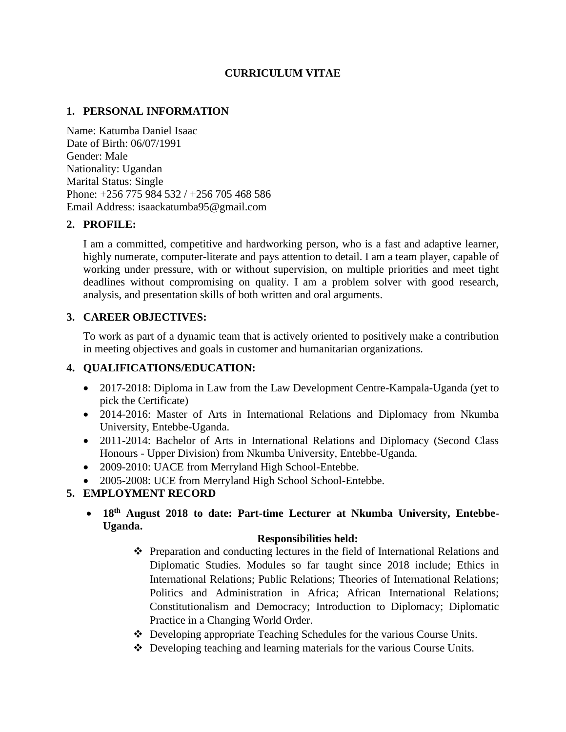## **CURRICULUM VITAE**

## **1. PERSONAL INFORMATION**

Name: Katumba Daniel Isaac Date of Birth: 06/07/1991 Gender: Male Nationality: Ugandan Marital Status: Single Phone: +256 775 984 532 / +256 705 468 586 Email Address: isaackatumba95@gmail.com

## **2. PROFILE:**

I am a committed, competitive and hardworking person, who is a fast and adaptive learner, highly numerate, computer-literate and pays attention to detail. I am a team player, capable of working under pressure, with or without supervision, on multiple priorities and meet tight deadlines without compromising on quality. I am a problem solver with good research, analysis, and presentation skills of both written and oral arguments.

## **3. CAREER OBJECTIVES:**

To work as part of a dynamic team that is actively oriented to positively make a contribution in meeting objectives and goals in customer and humanitarian organizations.

## **4. QUALIFICATIONS/EDUCATION:**

- 2017-2018: Diploma in Law from the Law Development Centre-Kampala-Uganda (yet to pick the Certificate)
- 2014-2016: Master of Arts in International Relations and Diplomacy from Nkumba University, Entebbe-Uganda.
- 2011-2014: Bachelor of Arts in International Relations and Diplomacy (Second Class Honours - Upper Division) from Nkumba University, Entebbe-Uganda.
- 2009-2010: UACE from Merryland High School-Entebbe.
- 2005-2008: UCE from Merryland High School School-Entebbe.

## **5. EMPLOYMENT RECORD**

• **18th August 2018 to date: Part-time Lecturer at Nkumba University, Entebbe-Uganda.** 

## **Responsibilities held:**

- ❖ Preparation and conducting lectures in the field of International Relations and Diplomatic Studies. Modules so far taught since 2018 include; Ethics in International Relations; Public Relations; Theories of International Relations; Politics and Administration in Africa; African International Relations; Constitutionalism and Democracy; Introduction to Diplomacy; Diplomatic Practice in a Changing World Order.
- ❖ Developing appropriate Teaching Schedules for the various Course Units.
- ❖ Developing teaching and learning materials for the various Course Units.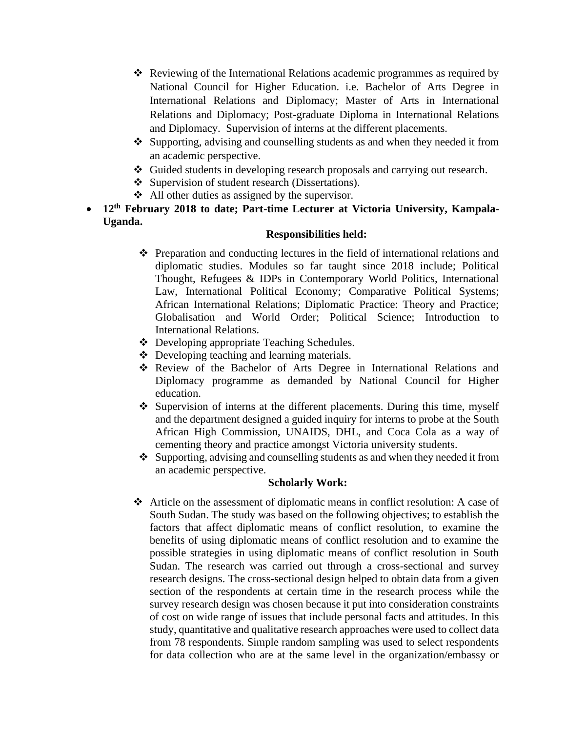- ❖ Reviewing of the International Relations academic programmes as required by National Council for Higher Education. i.e. Bachelor of Arts Degree in International Relations and Diplomacy; Master of Arts in International Relations and Diplomacy; Post-graduate Diploma in International Relations and Diplomacy. Supervision of interns at the different placements.
- ❖ Supporting, advising and counselling students as and when they needed it from an academic perspective.
- ❖ Guided students in developing research proposals and carrying out research.
- ❖ Supervision of student research (Dissertations).
- ❖ All other duties as assigned by the supervisor.
- **12th February 2018 to date; Part-time Lecturer at Victoria University, Kampala-Uganda.**

### **Responsibilities held:**

- ❖ Preparation and conducting lectures in the field of international relations and diplomatic studies. Modules so far taught since 2018 include; Political Thought, Refugees & IDPs in Contemporary World Politics, International Law, International Political Economy; Comparative Political Systems; African International Relations; Diplomatic Practice: Theory and Practice; Globalisation and World Order; Political Science; Introduction to International Relations.
- ❖ Developing appropriate Teaching Schedules.
- ❖ Developing teaching and learning materials.
- ❖ Review of the Bachelor of Arts Degree in International Relations and Diplomacy programme as demanded by National Council for Higher education.
- ❖ Supervision of interns at the different placements. During this time, myself and the department designed a guided inquiry for interns to probe at the South African High Commission, UNAIDS, DHL, and Coca Cola as a way of cementing theory and practice amongst Victoria university students.
- ❖ Supporting, advising and counselling students as and when they needed it from an academic perspective.

## **Scholarly Work:**

❖ Article on the assessment of diplomatic means in conflict resolution: A case of South Sudan. The study was based on the following objectives; to establish the factors that affect diplomatic means of conflict resolution, to examine the benefits of using diplomatic means of conflict resolution and to examine the possible strategies in using diplomatic means of conflict resolution in South Sudan. The research was carried out through a cross-sectional and survey research designs. The cross-sectional design helped to obtain data from a given section of the respondents at certain time in the research process while the survey research design was chosen because it put into consideration constraints of cost on wide range of issues that include personal facts and attitudes. In this study, quantitative and qualitative research approaches were used to collect data from 78 respondents. Simple random sampling was used to select respondents for data collection who are at the same level in the organization/embassy or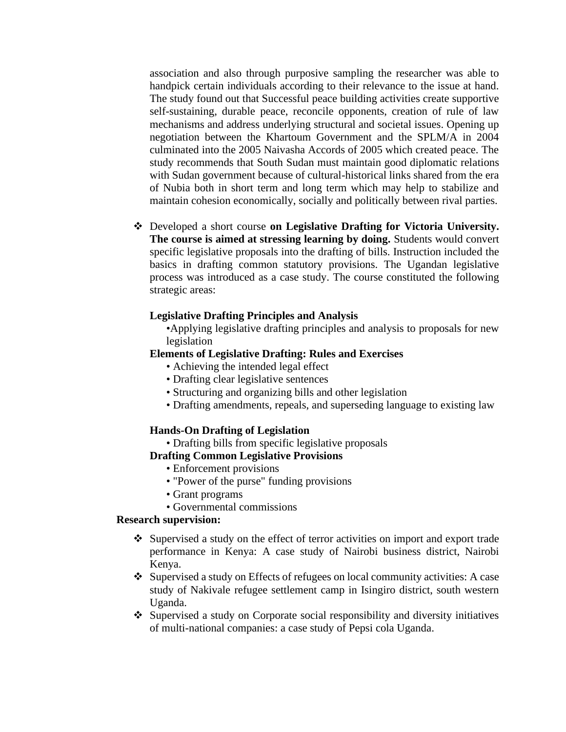association and also through purposive sampling the researcher was able to handpick certain individuals according to their relevance to the issue at hand. The study found out that Successful peace building activities create supportive self-sustaining, durable peace, reconcile opponents, creation of rule of law mechanisms and address underlying structural and societal issues. Opening up negotiation between the Khartoum Government and the SPLM/A in 2004 culminated into the 2005 Naivasha Accords of 2005 which created peace. The study recommends that South Sudan must maintain good diplomatic relations with Sudan government because of cultural-historical links shared from the era of Nubia both in short term and long term which may help to stabilize and maintain cohesion economically, socially and politically between rival parties.

❖ Developed a short course **on Legislative Drafting for Victoria University. The course is aimed at stressing learning by doing.** Students would convert specific legislative proposals into the drafting of bills. Instruction included the basics in drafting common statutory provisions. The Ugandan legislative process was introduced as a case study. The course constituted the following strategic areas:

#### **Legislative Drafting Principles and Analysis**

•Applying legislative drafting principles and analysis to proposals for new legislation

#### **Elements of Legislative Drafting: Rules and Exercises**

- Achieving the intended legal effect
- Drafting clear legislative sentences
- Structuring and organizing bills and other legislation
- Drafting amendments, repeals, and superseding language to existing law

#### **Hands-On Drafting of Legislation**

• Drafting bills from specific legislative proposals

#### **Drafting Common Legislative Provisions**

- Enforcement provisions
- "Power of the purse" funding provisions
- Grant programs
- Governmental commissions

#### **Research supervision:**

- ❖ Supervised a study on the effect of terror activities on import and export trade performance in Kenya: A case study of Nairobi business district, Nairobi Kenya.
- ❖ Supervised a study on Effects of refugees on local community activities: A case study of Nakivale refugee settlement camp in Isingiro district, south western Uganda.
- ❖ Supervised a study on Corporate social responsibility and diversity initiatives of multi-national companies: a case study of Pepsi cola Uganda.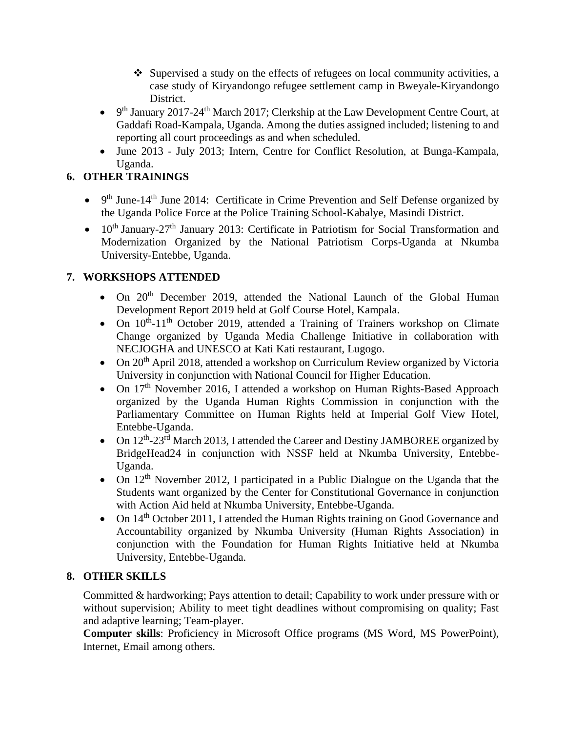- ❖ Supervised a study on the effects of refugees on local community activities, a case study of Kiryandongo refugee settlement camp in Bweyale-Kiryandongo District.
- 9<sup>th</sup> January 2017-24<sup>th</sup> March 2017; Clerkship at the Law Development Centre Court, at Gaddafi Road-Kampala, Uganda. Among the duties assigned included; listening to and reporting all court proceedings as and when scheduled.
- June 2013 July 2013; Intern, Centre for Conflict Resolution, at Bunga-Kampala, Uganda.

# **6. OTHER TRAININGS**

- $9<sup>th</sup>$  June-14<sup>th</sup> June 2014: Certificate in Crime Prevention and Self Defense organized by the Uganda Police Force at the Police Training School-Kabalye, Masindi District.
- $10<sup>th</sup> January-27<sup>th</sup> January 2013$ : Certificate in Patriotism for Social Transformation and Modernization Organized by the National Patriotism Corps-Uganda at Nkumba University-Entebbe, Uganda.

# **7. WORKSHOPS ATTENDED**

- On 20<sup>th</sup> December 2019, attended the National Launch of the Global Human Development Report 2019 held at Golf Course Hotel, Kampala.
- On  $10^{th}$ -11<sup>th</sup> October 2019, attended a Training of Trainers workshop on Climate Change organized by Uganda Media Challenge Initiative in collaboration with NECJOGHA and UNESCO at Kati Kati restaurant, Lugogo.
- On  $20<sup>th</sup>$  April 2018, attended a workshop on Curriculum Review organized by Victoria University in conjunction with National Council for Higher Education.
- On  $17<sup>th</sup>$  November 2016, I attended a workshop on Human Rights-Based Approach organized by the Uganda Human Rights Commission in conjunction with the Parliamentary Committee on Human Rights held at Imperial Golf View Hotel, Entebbe-Uganda.
- On 12<sup>th</sup>-23<sup>rd</sup> March 2013, I attended the Career and Destiny JAMBOREE organized by BridgeHead24 in conjunction with NSSF held at Nkumba University, Entebbe-Uganda.
- On  $12<sup>th</sup>$  November 2012, I participated in a Public Dialogue on the Uganda that the Students want organized by the Center for Constitutional Governance in conjunction with Action Aid held at Nkumba University, Entebbe-Uganda.
- On 14<sup>th</sup> October 2011, I attended the Human Rights training on Good Governance and Accountability organized by Nkumba University (Human Rights Association) in conjunction with the Foundation for Human Rights Initiative held at Nkumba University, Entebbe-Uganda.

# **8. OTHER SKILLS**

Committed & hardworking; Pays attention to detail; Capability to work under pressure with or without supervision; Ability to meet tight deadlines without compromising on quality; Fast and adaptive learning; Team-player.

**Computer skills**: Proficiency in Microsoft Office programs (MS Word, MS PowerPoint), Internet, Email among others.